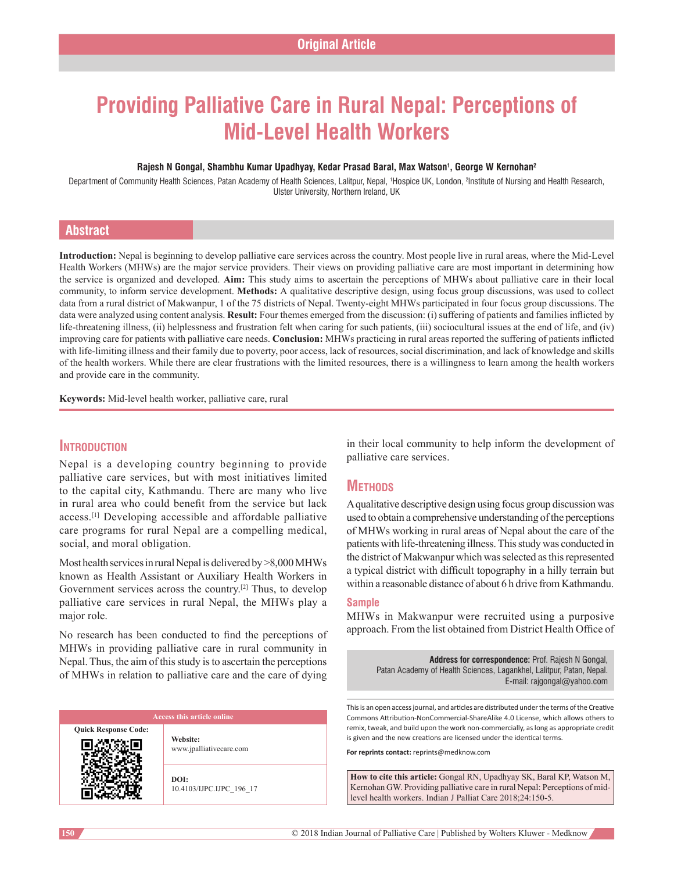# **Providing Palliative Care in Rural Nepal: Perceptions of Mid-Level Health Workers**

#### **Rajesh N Gongal, Shambhu Kumar Upadhyay, Kedar Prasad Baral, Max Watson1 , George W Kernohan2**

Department of Community Health Sciences, Patan Academy of Health Sciences, Lalitpur, Nepal, 1Hospice UK, London, <sup>2</sup>Institute of Nursing and Health Research, Ulster University, Northern Ireland, UK

# **Abstract**

**Introduction:** Nepal is beginning to develop palliative care services across the country. Most people live in rural areas, where the Mid‑Level Health Workers (MHWs) are the major service providers. Their views on providing palliative care are most important in determining how the service is organized and developed. **Aim:** This study aims to ascertain the perceptions of MHWs about palliative care in their local community, to inform service development. **Methods:** A qualitative descriptive design, using focus group discussions, was used to collect data from a rural district of Makwanpur, 1 of the 75 districts of Nepal. Twenty-eight MHWs participated in four focus group discussions. The data were analyzed using content analysis. **Result:** Four themes emerged from the discussion: (i) suffering of patients and families inflicted by life-threatening illness, (ii) helplessness and frustration felt when caring for such patients, (iii) sociocultural issues at the end of life, and (iv) improving care for patients with palliative care needs. **Conclusion:** MHWs practicing in rural areas reported the suffering of patients inflicted with life-limiting illness and their family due to poverty, poor access, lack of resources, social discrimination, and lack of knowledge and skills of the health workers. While there are clear frustrations with the limited resources, there is a willingness to learn among the health workers and provide care in the community.

**Keywords:** Mid‑level health worker, palliative care, rural

# **Introduction**

Nepal is a developing country beginning to provide palliative care services, but with most initiatives limited to the capital city, Kathmandu. There are many who live in rural area who could benefit from the service but lack access.[1] Developing accessible and affordable palliative care programs for rural Nepal are a compelling medical, social, and moral obligation.

Most health services in rural Nepal is delivered by>8,000 MHWs known as Health Assistant or Auxiliary Health Workers in Government services across the country.[2] Thus, to develop palliative care services in rural Nepal, the MHWs play a major role.

No research has been conducted to find the perceptions of MHWs in providing palliative care in rural community in Nepal. Thus, the aim of this study is to ascertain the perceptions of MHWs in relation to palliative care and the care of dying

**Quick Response Code:**

**Website:** www.jpalliativecare.com

**DOI:** 10.4103/IJPC.IJPC\_196\_17 in their local community to help inform the development of palliative care services.

# **METHODS**

A qualitative descriptive design using focus group discussion was used to obtain a comprehensive understanding of the perceptions of MHWs working in rural areas of Nepal about the care of the patients with life-threatening illness. This study was conducted in the district of Makwanpur which was selected as this represented a typical district with difficult topography in a hilly terrain but within a reasonable distance of about 6 h drive from Kathmandu.

#### **Sample**

MHWs in Makwanpur were recruited using a purposive approach. From the list obtained from District Health Office of

**Address for correspondence:** Prof. Rajesh N Gongal, Patan Academy of Health Sciences, Lagankhel, Lalitpur, Patan, Nepal. E‑mail: rajgongal@yahoo.com

This is an open access journal, and articles are distributed under the terms of the Creative Commons Attribution-NonCommercial-ShareAlike 4.0 License, which allows others to remix, tweak, and build upon the work non-commercially, as long as appropriate credit is given and the new creations are licensed under the identical terms.

**For reprints contact:** reprints@medknow.com

**How to cite this article:** Gongal RN, Upadhyay SK, Baral KP, Watson M, Kernohan GW. Providing palliative care in rural Nepal: Perceptions of midlevel health workers. Indian J Palliat Care 2018;24:150-5.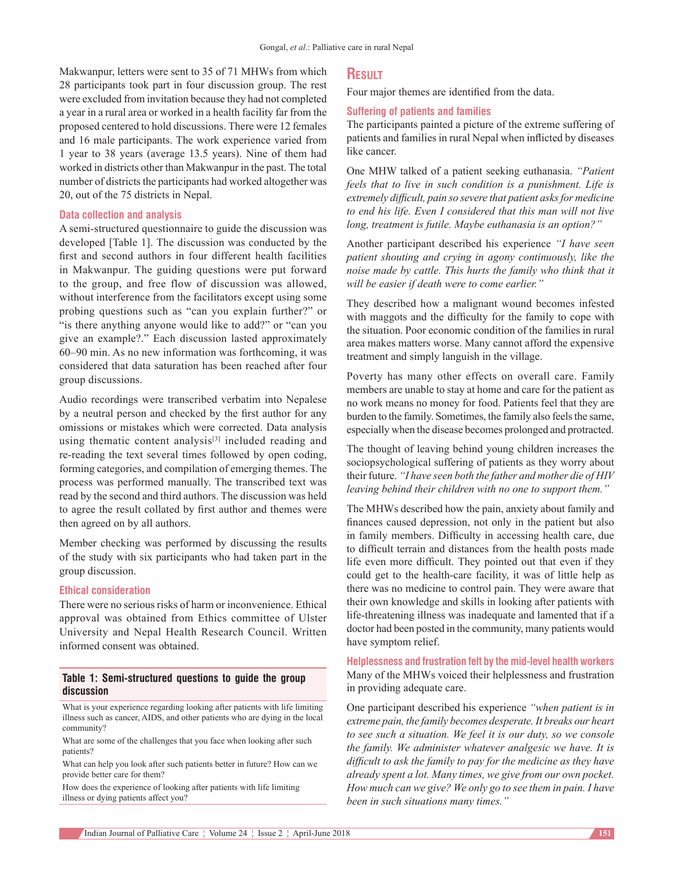Makwanpur, letters were sent to 35 of 71 MHWs from which 28 participants took part in four discussion group. The rest were excluded from invitation because they had not completed a year in a rural area or worked in a health facility far from the proposed centered to hold discussions. There were 12 females and 16 male participants. The work experience varied from 1 year to 38 years (average 13.5 years). Nine of them had worked in districts other than Makwanpur in the past. The total number of districts the participants had worked altogether was 20, out of the 75 districts in Nepal.

#### **Data collection and analysis**

A semi‑structured questionnaire to guide the discussion was developed [Table 1]. The discussion was conducted by the first and second authors in four different health facilities in Makwanpur. The guiding questions were put forward to the group, and free flow of discussion was allowed, without interference from the facilitators except using some probing questions such as "can you explain further?" or "is there anything anyone would like to add?" or "can you give an example?." Each discussion lasted approximately 60–90 min. As no new information was forthcoming, it was considered that data saturation has been reached after four group discussions.

Audio recordings were transcribed verbatim into Nepalese by a neutral person and checked by the first author for any omissions or mistakes which were corrected. Data analysis using thematic content analysis<sup>[3]</sup> included reading and re‑reading the text several times followed by open coding, forming categories, and compilation of emerging themes. The process was performed manually. The transcribed text was read by the second and third authors. The discussion was held to agree the result collated by first author and themes were then agreed on by all authors.

Member checking was performed by discussing the results of the study with six participants who had taken part in the group discussion.

#### **Ethical consideration**

There were no serious risks of harm or inconvenience. Ethical approval was obtained from Ethics committee of Ulster University and Nepal Health Research Council. Written informed consent was obtained.

# **Table 1: Semi-structured questions to guide the group discussion**

What is your experience regarding looking after patients with life limiting illness such as cancer, AIDS, and other patients who are dying in the local community?

What are some of the challenges that you face when looking after such patients?

What can help you look after such patients better in future? How can we provide better care for them?

How does the experience of looking after patients with life limiting illness or dying patients affect you?

# **Result**

Four major themes are identified from the data.

#### **Suffering of patients and families**

The participants painted a picture of the extreme suffering of patients and families in rural Nepal when inflicted by diseases like cancer.

One MHW talked of a patient seeking euthanasia. *"Patient feels that to live in such condition is a punishment. Life is extremely difficult, pain so severe that patient asksfor medicine to end his life. Even I considered that this man will not live long, treatment is futile. Maybe euthanasia is an option?"*

Another participant described his experience *"I have seen patient shouting and crying in agony continuously, like the noise made by cattle. This hurts the family who think that it will be easier if death were to come earlier."*

They described how a malignant wound becomes infested with maggots and the difficulty for the family to cope with the situation. Poor economic condition of the families in rural area makes matters worse. Many cannot afford the expensive treatment and simply languish in the village.

Poverty has many other effects on overall care. Family members are unable to stay at home and care for the patient as no work means no money for food. Patients feel that they are burden to the family. Sometimes, the family also feels the same, especially when the disease becomes prolonged and protracted.

The thought of leaving behind young children increases the sociopsychological suffering of patients as they worry about their future. *"I have seen both the father and mother die of HIV leaving behind their children with no one to support them."*

The MHWs described how the pain, anxiety about family and finances caused depression, not only in the patient but also in family members. Difficulty in accessing health care, due to difficult terrain and distances from the health posts made life even more difficult. They pointed out that even if they could get to the health-care facility, it was of little help as there was no medicine to control pain. They were aware that their own knowledge and skills in looking after patients with life-threatening illness was inadequate and lamented that if a doctor had been posted in the community, many patients would have symptom relief.

**Helplessness and frustration felt by the mid-level health workers** Many of the MHWs voiced their helplessness and frustration in providing adequate care.

One participant described his experience *"when patient is in extreme pain, the family becomes desperate. It breaks our heart to see such a situation. We feel it is our duty, so we console the family. We administer whatever analgesic we have. It is difficult to ask the family to pay for the medicine as they have already spent a lot. Many times, we give from our own pocket. How much can we give? We only go to see them in pain. I have been in such situations many times."*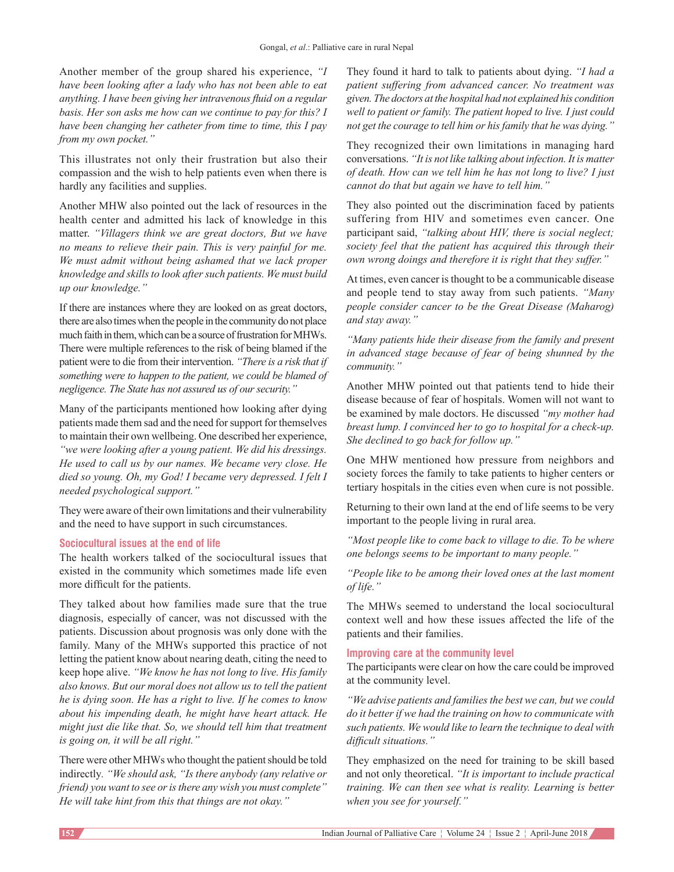Another member of the group shared his experience, *"I have been looking after a lady who has not been able to eat anything. I have been giving her intravenous fluid on a regular basis. Her son asks me how can we continue to pay for this? I have been changing her catheter from time to time, this I pay from my own pocket."*

This illustrates not only their frustration but also their compassion and the wish to help patients even when there is hardly any facilities and supplies.

Another MHW also pointed out the lack of resources in the health center and admitted his lack of knowledge in this matter. *"Villagers think we are great doctors, But we have no means to relieve their pain. This is very painful for me. We must admit without being ashamed that we lack proper knowledge and skillsto look aftersuch patients. We must build up our knowledge."*

If there are instances where they are looked on as great doctors, there are also times when the people in the community do not place much faith in them, which can be a source of frustration for MHWs. There were multiple references to the risk of being blamed if the patient were to die from their intervention. *"There is a risk that if something were to happen to the patient, we could be blamed of negligence. The State has not assured us of our security."*

Many of the participants mentioned how looking after dying patients made them sad and the need for support for themselves to maintain their own wellbeing. One described her experience, *"we were looking after a young patient. We did his dressings. He used to call us by our names. We became very close. He died so young. Oh, my God! I became very depressed. I felt I needed psychological support."*

They were aware of their own limitations and their vulnerability and the need to have support in such circumstances.

#### **Sociocultural issues at the end of life**

The health workers talked of the sociocultural issues that existed in the community which sometimes made life even more difficult for the patients.

They talked about how families made sure that the true diagnosis, especially of cancer, was not discussed with the patients. Discussion about prognosis was only done with the family. Many of the MHWs supported this practice of not letting the patient know about nearing death, citing the need to keep hope alive. *"We know he has not long to live. His family also knows. But our moral does not allow us to tell the patient he is dying soon. He has a right to live. If he comes to know about his impending death, he might have heart attack. He might just die like that. So, we should tell him that treatment is going on, it will be all right."*

There were other MHWs who thought the patient should be told indirectly*. "We should ask, "Is there anybody (any relative or friend) you want to see oristhere any wish you must complete" He will take hint from this that things are not okay."*

They found it hard to talk to patients about dying. *"I had a patient suffering from advanced cancer. No treatment was given. The doctors at the hospital had not explained his condition well to patient or family. The patient hoped to live. I just could not get the courage to tell him or hisfamily that he was dying."*

They recognized their own limitations in managing hard conversations. *"It is not like talking about infection. It is matter of death. How can we tell him he has not long to live? I just cannot do that but again we have to tell him."*

They also pointed out the discrimination faced by patients suffering from HIV and sometimes even cancer. One participant said, *"talking about HIV, there is social neglect; society feel that the patient has acquired this through their own wrong doings and therefore it is right that they suffer."*

At times, even cancer is thought to be a communicable disease and people tend to stay away from such patients. *"Many people consider cancer to be the Great Disease (Maharog) and stay away."*

*"Many patients hide their disease from the family and present in advanced stage because of fear of being shunned by the community."*

Another MHW pointed out that patients tend to hide their disease because of fear of hospitals. Women will not want to be examined by male doctors. He discussed *"my mother had breast lump. I convinced her to go to hospital for a check‑up. She declined to go back for follow up."*

One MHW mentioned how pressure from neighbors and society forces the family to take patients to higher centers or tertiary hospitals in the cities even when cure is not possible.

Returning to their own land at the end of life seems to be very important to the people living in rural area.

*"Most people like to come back to village to die. To be where one belongs seems to be important to many people."*

*"People like to be among their loved ones at the last moment of life."*

The MHWs seemed to understand the local sociocultural context well and how these issues affected the life of the patients and their families.

## **Improving care at the community level**

The participants were clear on how the care could be improved at the community level.

*"We advise patients and familiesthe best we can, but we could do it betterif we had the training on how to communicate with such patients. We would like to learn the technique to deal with difficult situations."*

They emphasized on the need for training to be skill based and not only theoretical. *"It is important to include practical training. We can then see what is reality. Learning is better when you see for yourself."*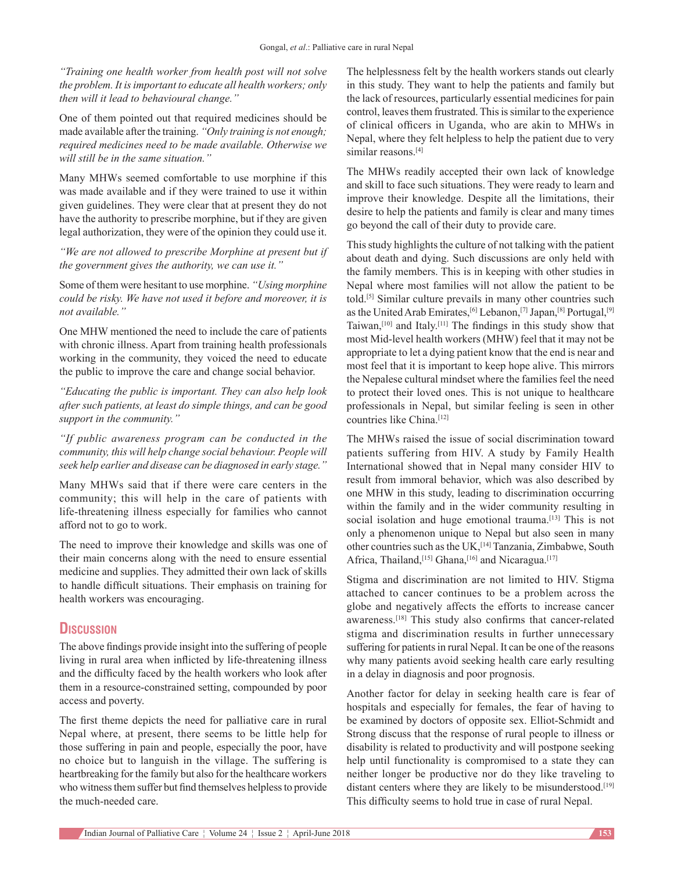*"Training one health worker from health post will not solve the problem. It isimportant to educate all health workers; only then will it lead to behavioural change."*

One of them pointed out that required medicines should be made available after the training. *"Only training is not enough; required medicines need to be made available. Otherwise we will still be in the same situation."*

Many MHWs seemed comfortable to use morphine if this was made available and if they were trained to use it within given guidelines. They were clear that at present they do not have the authority to prescribe morphine, but if they are given legal authorization, they were of the opinion they could use it.

*"We are not allowed to prescribe Morphine at present but if the government gives the authority, we can use it."*

Some of them were hesitant to use morphine. *"Using morphine could be risky. We have not used it before and moreover, it is not available."*

One MHW mentioned the need to include the care of patients with chronic illness. Apart from training health professionals working in the community, they voiced the need to educate the public to improve the care and change social behavior.

*"Educating the public is important. They can also help look after such patients, at least do simple things, and can be good support in the community."*

*"If public awareness program can be conducted in the community, this will help change social behaviour. People will seek help earlier and disease can be diagnosed in early stage."*

Many MHWs said that if there were care centers in the community; this will help in the care of patients with life-threatening illness especially for families who cannot afford not to go to work.

The need to improve their knowledge and skills was one of their main concerns along with the need to ensure essential medicine and supplies. They admitted their own lack of skills to handle difficult situations. Their emphasis on training for health workers was encouraging.

# **Discussion**

The above findings provide insight into the suffering of people living in rural area when inflicted by life-threatening illness and the difficulty faced by the health workers who look after them in a resource-constrained setting, compounded by poor access and poverty.

The first theme depicts the need for palliative care in rural Nepal where, at present, there seems to be little help for those suffering in pain and people, especially the poor, have no choice but to languish in the village. The suffering is heartbreaking for the family but also for the healthcare workers who witness them suffer but find themselves helpless to provide the much‑needed care.

The helplessness felt by the health workers stands out clearly in this study. They want to help the patients and family but the lack of resources, particularly essential medicines for pain control, leaves them frustrated. This is similar to the experience of clinical officers in Uganda, who are akin to MHWs in Nepal, where they felt helpless to help the patient due to very similar reasons.<sup>[4]</sup>

The MHWs readily accepted their own lack of knowledge and skill to face such situations. They were ready to learn and improve their knowledge. Despite all the limitations, their desire to help the patients and family is clear and many times go beyond the call of their duty to provide care.

This study highlights the culture of not talking with the patient about death and dying. Such discussions are only held with the family members. This is in keeping with other studies in Nepal where most families will not allow the patient to be told.[5] Similar culture prevails in many other countries such as the United Arab Emirates,<sup>[6]</sup> Lebanon,<sup>[7]</sup> Japan,<sup>[8]</sup> Portugal,<sup>[9]</sup> Taiwan,[10] and Italy.[11] The findings in this study show that most Mid‑level health workers (MHW) feel that it may not be appropriate to let a dying patient know that the end is near and most feel that it is important to keep hope alive. This mirrors the Nepalese cultural mindset where the families feel the need to protect their loved ones. This is not unique to healthcare professionals in Nepal, but similar feeling is seen in other countries like China.<sup>[12]</sup>

The MHWs raised the issue of social discrimination toward patients suffering from HIV. A study by Family Health International showed that in Nepal many consider HIV to result from immoral behavior, which was also described by one MHW in this study, leading to discrimination occurring within the family and in the wider community resulting in social isolation and huge emotional trauma.<sup>[13]</sup> This is not only a phenomenon unique to Nepal but also seen in many other countries such as the UK,  $\left[14\right]$  Tanzania, Zimbabwe, South Africa, Thailand,<sup>[15]</sup> Ghana,<sup>[16]</sup> and Nicaragua.<sup>[17]</sup>

Stigma and discrimination are not limited to HIV. Stigma attached to cancer continues to be a problem across the globe and negatively affects the efforts to increase cancer awareness.<sup>[18]</sup> This study also confirms that cancer-related stigma and discrimination results in further unnecessary suffering for patients in rural Nepal. It can be one of the reasons why many patients avoid seeking health care early resulting in a delay in diagnosis and poor prognosis.

Another factor for delay in seeking health care is fear of hospitals and especially for females, the fear of having to be examined by doctors of opposite sex. Elliot-Schmidt and Strong discuss that the response of rural people to illness or disability is related to productivity and will postpone seeking help until functionality is compromised to a state they can neither longer be productive nor do they like traveling to distant centers where they are likely to be misunderstood.<sup>[19]</sup> This difficulty seems to hold true in case of rural Nepal.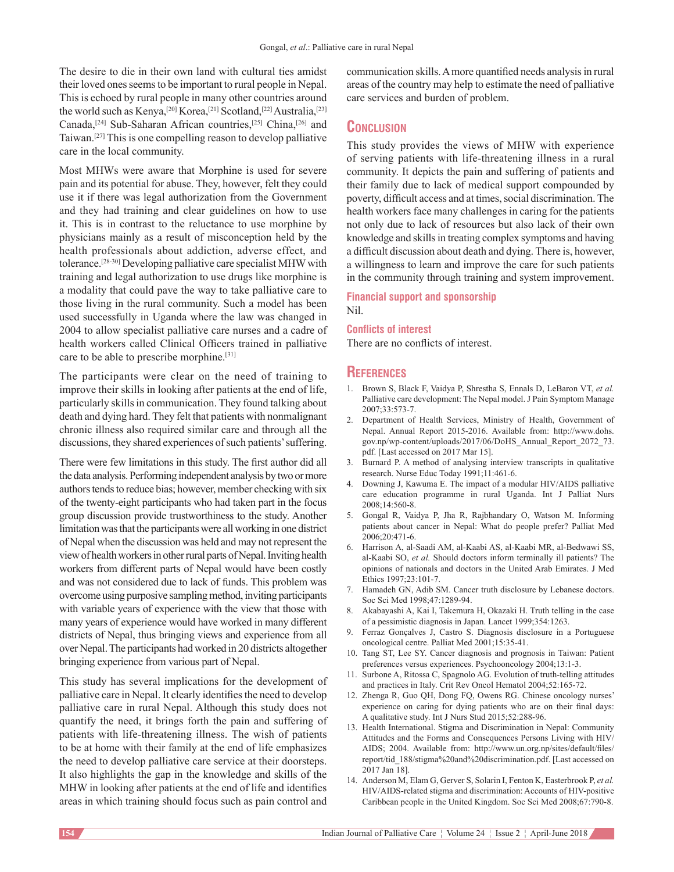The desire to die in their own land with cultural ties amidst their loved ones seems to be important to rural people in Nepal. This is echoed by rural people in many other countries around the world such as Kenya,<sup>[20]</sup> Korea,<sup>[21]</sup> Scotland,<sup>[22]</sup> Australia,<sup>[23]</sup> Canada,<sup>[24]</sup> Sub-Saharan African countries,<sup>[25]</sup> China,<sup>[26]</sup> and Taiwan.[27] This is one compelling reason to develop palliative care in the local community.

Most MHWs were aware that Morphine is used for severe pain and its potential for abuse. They, however, felt they could use it if there was legal authorization from the Government and they had training and clear guidelines on how to use it. This is in contrast to the reluctance to use morphine by physicians mainly as a result of misconception held by the health professionals about addiction, adverse effect, and tolerance.[28‑30] Developing palliative care specialist MHW with training and legal authorization to use drugs like morphine is a modality that could pave the way to take palliative care to those living in the rural community. Such a model has been used successfully in Uganda where the law was changed in 2004 to allow specialist palliative care nurses and a cadre of health workers called Clinical Officers trained in palliative care to be able to prescribe morphine.<sup>[31]</sup>

The participants were clear on the need of training to improve their skills in looking after patients at the end of life, particularly skills in communication. They found talking about death and dying hard. They felt that patients with nonmalignant chronic illness also required similar care and through all the discussions, they shared experiences of such patients' suffering.

There were few limitations in this study. The first author did all the data analysis. Performing independent analysis by two or more authors tends to reduce bias; however, member checking with six of the twenty‑eight participants who had taken part in the focus group discussion provide trustworthiness to the study. Another limitation was that the participants were all working in one district of Nepal when the discussion was held and may not represent the view of health workers in other rural parts of Nepal. Inviting health workers from different parts of Nepal would have been costly and was not considered due to lack of funds. This problem was overcome using purposive sampling method, inviting participants with variable years of experience with the view that those with many years of experience would have worked in many different districts of Nepal, thus bringing views and experience from all over Nepal. The participants had worked in 20 districts altogether bringing experience from various part of Nepal.

This study has several implications for the development of palliative care in Nepal. It clearly identifies the need to develop palliative care in rural Nepal. Although this study does not quantify the need, it brings forth the pain and suffering of patients with life‑threatening illness. The wish of patients to be at home with their family at the end of life emphasizes the need to develop palliative care service at their doorsteps. It also highlights the gap in the knowledge and skills of the MHW in looking after patients at the end of life and identifies areas in which training should focus such as pain control and

communication skills. Amore quantified needs analysis in rural areas of the country may help to estimate the need of palliative care services and burden of problem.

# **Conclusion**

This study provides the views of MHW with experience of serving patients with life-threatening illness in a rural community. It depicts the pain and suffering of patients and their family due to lack of medical support compounded by poverty, difficult access and at times, social discrimination. The health workers face many challenges in caring for the patients not only due to lack of resources but also lack of their own knowledge and skills in treating complex symptoms and having a difficult discussion about death and dying. There is, however, a willingness to learn and improve the care for such patients in the community through training and system improvement.

### **Financial support and sponsorship** Nil.

#### **Conflicts of interest**

There are no conflicts of interest.

# **References**

- 1. Brown S, Black F, Vaidya P, Shrestha S, Ennals D, LeBaron VT, *et al.* Palliative care development: The Nepal model. J Pain Symptom Manage 2007;33:573‑7.
- 2. Department of Health Services, Ministry of Health, Government of Nepal. Annual Report 2015‑2016. Available from: http://www.dohs. gov.np/wp‑content/uploads/2017/06/DoHS\_Annual\_Report\_2072\_73. pdf. [Last accessed on 2017 Mar 15].
- 3. Burnard P. A method of analysing interview transcripts in qualitative research. Nurse Educ Today 1991;11:461-6.
- 4. Downing J, Kawuma E. The impact of a modular HIV/AIDS palliative care education programme in rural Uganda. Int J Palliat Nurs 2008;14:560‑8.
- 5. Gongal R, Vaidya P, Jha R, Rajbhandary O, Watson M. Informing patients about cancer in Nepal: What do people prefer? Palliat Med 2006;20:471‑6.
- 6. Harrison A, al‑Saadi AM, al‑Kaabi AS, al‑Kaabi MR, al‑Bedwawi SS, al‑Kaabi SO, *et al.* Should doctors inform terminally ill patients? The opinions of nationals and doctors in the United Arab Emirates. J Med Ethics 1997;23:101‑7.
- 7. Hamadeh GN, Adib SM. Cancer truth disclosure by Lebanese doctors. Soc Sci Med 1998;47:1289‑94.
- 8. Akabayashi A, Kai I, Takemura H, Okazaki H. Truth telling in the case of a pessimistic diagnosis in Japan. Lancet 1999;354:1263.
- 9. Ferraz Gonçalves J, Castro S. Diagnosis disclosure in a Portuguese oncological centre. Palliat Med 2001;15:35‑41.
- 10. Tang ST, Lee SY. Cancer diagnosis and prognosis in Taiwan: Patient preferences versus experiences. Psychooncology 2004;13:1‑3.
- 11. Surbone A, Ritossa C, Spagnolo AG. Evolution of truth-telling attitudes and practices in Italy. Crit Rev Oncol Hematol 2004;52:165‑72.
- 12. Zhenga R, Guo QH, Dong FQ, Owens RG. Chinese oncology nurses' experience on caring for dying patients who are on their final days: A qualitative study. Int J Nurs Stud 2015;52:288‑96.
- 13. Health International. Stigma and Discrimination in Nepal: Community Attitudes and the Forms and Consequences Persons Living with HIV/ AIDS; 2004. Available from: http://www.un.org.np/sites/default/files/ report/tid\_188/stigma%20and%20discrimination.pdf. [Last accessed on 2017 Jan 18].
- 14. Anderson M, Elam G, Gerver S, Solarin I, Fenton K, Easterbrook P, *et al.* HIV/AIDS-related stigma and discrimination: Accounts of HIV-positive Caribbean people in the United Kingdom. Soc Sci Med 2008;67:790‑8.